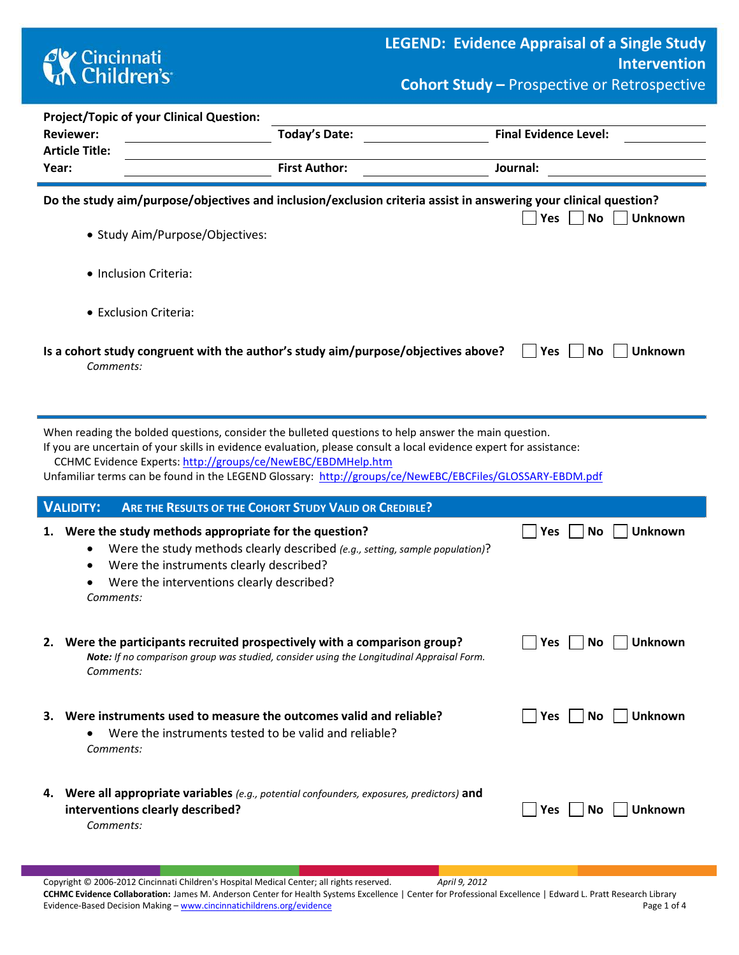## **CK** Cincinnati<br> **Children's**

**Cohort Study –** Prospective or Retrospective

|                                                                                                                                                                                                                                                                                                                                                                                                        | <b>Project/Topic of your Clinical Question:</b>                                                                                                                                                                                                     |                                    |  |  |  |  |  |  |  |  |  |  |  |
|--------------------------------------------------------------------------------------------------------------------------------------------------------------------------------------------------------------------------------------------------------------------------------------------------------------------------------------------------------------------------------------------------------|-----------------------------------------------------------------------------------------------------------------------------------------------------------------------------------------------------------------------------------------------------|------------------------------------|--|--|--|--|--|--|--|--|--|--|--|
|                                                                                                                                                                                                                                                                                                                                                                                                        | <b>Today's Date:</b><br><b>Reviewer:</b>                                                                                                                                                                                                            | <b>Final Evidence Level:</b>       |  |  |  |  |  |  |  |  |  |  |  |
|                                                                                                                                                                                                                                                                                                                                                                                                        | <b>Article Title:</b><br><b>First Author:</b><br>Year:                                                                                                                                                                                              | Journal:                           |  |  |  |  |  |  |  |  |  |  |  |
|                                                                                                                                                                                                                                                                                                                                                                                                        |                                                                                                                                                                                                                                                     |                                    |  |  |  |  |  |  |  |  |  |  |  |
| Do the study aim/purpose/objectives and inclusion/exclusion criteria assist in answering your clinical question?<br>No<br><b>Unknown</b><br>Yes<br>• Study Aim/Purpose/Objectives:                                                                                                                                                                                                                     |                                                                                                                                                                                                                                                     |                                    |  |  |  |  |  |  |  |  |  |  |  |
|                                                                                                                                                                                                                                                                                                                                                                                                        | · Inclusion Criteria:                                                                                                                                                                                                                               |                                    |  |  |  |  |  |  |  |  |  |  |  |
|                                                                                                                                                                                                                                                                                                                                                                                                        | • Exclusion Criteria:                                                                                                                                                                                                                               |                                    |  |  |  |  |  |  |  |  |  |  |  |
|                                                                                                                                                                                                                                                                                                                                                                                                        | Is a cohort study congruent with the author's study aim/purpose/objectives above?<br>Yes<br>No<br><b>Unknown</b><br>Comments:                                                                                                                       |                                    |  |  |  |  |  |  |  |  |  |  |  |
| When reading the bolded questions, consider the bulleted questions to help answer the main question.<br>If you are uncertain of your skills in evidence evaluation, please consult a local evidence expert for assistance:<br>CCHMC Evidence Experts: http://groups/ce/NewEBC/EBDMHelp.htm<br>Unfamiliar terms can be found in the LEGEND Glossary: http://groups/ce/NewEBC/EBCFiles/GLOSSARY-EBDM.pdf |                                                                                                                                                                                                                                                     |                                    |  |  |  |  |  |  |  |  |  |  |  |
|                                                                                                                                                                                                                                                                                                                                                                                                        | <b>VALIDITY:</b><br>ARE THE RESULTS OF THE COHORT STUDY VALID OR CREDIBLE?                                                                                                                                                                          |                                    |  |  |  |  |  |  |  |  |  |  |  |
| 1.                                                                                                                                                                                                                                                                                                                                                                                                     | Were the study methods appropriate for the question?<br>Were the study methods clearly described (e.g., setting, sample population)?<br>٠<br>Were the instruments clearly described?<br>٠<br>Were the interventions clearly described?<br>Comments: | <b>Unknown</b><br><b>No</b><br>Yes |  |  |  |  |  |  |  |  |  |  |  |
|                                                                                                                                                                                                                                                                                                                                                                                                        | 2. Were the participants recruited prospectively with a comparison group?<br>Note: If no comparison group was studied, consider using the Longitudinal Appraisal Form.<br>Comments:                                                                 | Yes<br>No<br>Unknown               |  |  |  |  |  |  |  |  |  |  |  |
|                                                                                                                                                                                                                                                                                                                                                                                                        | 3. Were instruments used to measure the outcomes valid and reliable?<br>Were the instruments tested to be valid and reliable?<br>Comments:                                                                                                          | Yes    No    <br><b>Unknown</b>    |  |  |  |  |  |  |  |  |  |  |  |
|                                                                                                                                                                                                                                                                                                                                                                                                        | 4. Were all appropriate variables (e.g., potential confounders, exposures, predictors) and<br>interventions clearly described?<br>Comments:                                                                                                         | Yes <br>$No$    <br><b>Unknown</b> |  |  |  |  |  |  |  |  |  |  |  |

Copyright © 2006-2012 Cincinnati Children's Hospital Medical Center; all rights reserved. *April 9, 2012* **CCHMC Evidence Collaboration:** James M. Anderson Center for Health Systems Excellence | Center for Professional Excellence | Edward L. Pratt Research Library Evidence-Based Decision Making – [www.cincinnatichildrens.org/evidence](http://www.cincinnatichildrens.org/service/j/anderson-center/evidence-based-care/legend/) Page 1 of 4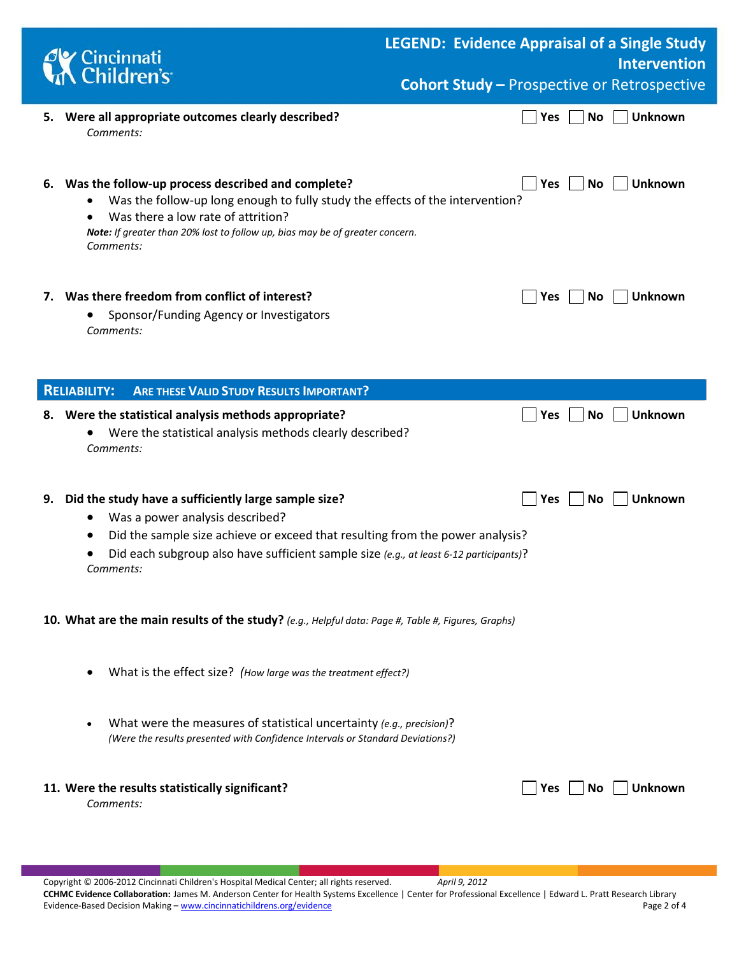| Cincinnati<br>Children's                                                                                                                                                                                                                                                                           |  | <b>LEGEND: Evidence Appraisal of a Single Study</b><br><b>Intervention</b> |                                                    |  |  |  |  |  |
|----------------------------------------------------------------------------------------------------------------------------------------------------------------------------------------------------------------------------------------------------------------------------------------------------|--|----------------------------------------------------------------------------|----------------------------------------------------|--|--|--|--|--|
|                                                                                                                                                                                                                                                                                                    |  |                                                                            | <b>Cohort Study - Prospective or Retrospective</b> |  |  |  |  |  |
| 5. Were all appropriate outcomes clearly described?<br>Comments:                                                                                                                                                                                                                                   |  | <b>No</b><br>Yes                                                           | <b>Unknown</b>                                     |  |  |  |  |  |
| Was the follow-up process described and complete?<br>6.<br>Was the follow-up long enough to fully study the effects of the intervention?<br>Was there a low rate of attrition?<br>Note: If greater than 20% lost to follow up, bias may be of greater concern.<br>Comments:                        |  | No<br><b>Yes</b>                                                           | <b>Unknown</b>                                     |  |  |  |  |  |
| 7. Was there freedom from conflict of interest?<br>Sponsor/Funding Agency or Investigators<br>Comments:                                                                                                                                                                                            |  | No<br><b>Yes</b>                                                           | <b>Unknown</b>                                     |  |  |  |  |  |
| <b>ARE THESE VALID STUDY RESULTS IMPORTANT?</b><br><b>RELIABILITY:</b>                                                                                                                                                                                                                             |  |                                                                            |                                                    |  |  |  |  |  |
| 8. Were the statistical analysis methods appropriate?<br>Were the statistical analysis methods clearly described?<br>Comments:                                                                                                                                                                     |  | <b>No</b><br>Yes                                                           | <b>Unknown</b>                                     |  |  |  |  |  |
| Did the study have a sufficiently large sample size?<br>9.<br>Was a power analysis described?<br>$\bullet$<br>Did the sample size achieve or exceed that resulting from the power analysis?<br>Did each subgroup also have sufficient sample size (e.g., at least 6-12 participants)?<br>Comments: |  | <b>No</b><br><b>Yes</b>                                                    | <b>Unknown</b>                                     |  |  |  |  |  |
| 10. What are the main results of the study? (e.g., Helpful data: Page #, Table #, Figures, Graphs)                                                                                                                                                                                                 |  |                                                                            |                                                    |  |  |  |  |  |
| What is the effect size? (How large was the treatment effect?)                                                                                                                                                                                                                                     |  |                                                                            |                                                    |  |  |  |  |  |
| What were the measures of statistical uncertainty (e.g., precision)?<br>(Were the results presented with Confidence Intervals or Standard Deviations?)                                                                                                                                             |  |                                                                            |                                                    |  |  |  |  |  |
| 11. Were the results statistically significant?<br>Comments:                                                                                                                                                                                                                                       |  | Yes  <br>l No                                                              | <b>Unknown</b>                                     |  |  |  |  |  |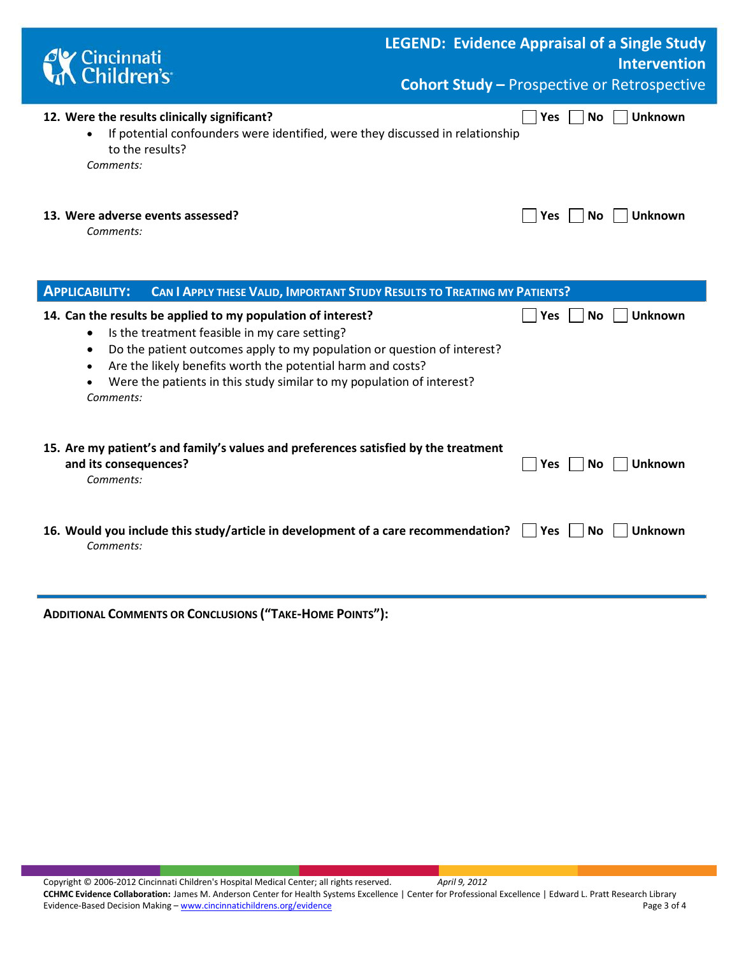| ' Cincinnati<br>, Children's                                                                                                                                                                                                                                                                                                                                            | <b>LEGEND: Evidence Appraisal of a Single Study</b><br><b>Intervention</b><br><b>Cohort Study - Prospective or Retrospective</b> |
|-------------------------------------------------------------------------------------------------------------------------------------------------------------------------------------------------------------------------------------------------------------------------------------------------------------------------------------------------------------------------|----------------------------------------------------------------------------------------------------------------------------------|
| 12. Were the results clinically significant?<br>If potential confounders were identified, were they discussed in relationship<br>to the results?<br>Comments:                                                                                                                                                                                                           | <b>Unknown</b><br>Yes<br>No                                                                                                      |
| 13. Were adverse events assessed?<br>Comments:                                                                                                                                                                                                                                                                                                                          | <b>Unknown</b><br>Yes<br>No                                                                                                      |
| <b>APPLICABILITY:</b><br>CAN I APPLY THESE VALID, IMPORTANT STUDY RESULTS TO TREATING MY PATIENTS?                                                                                                                                                                                                                                                                      |                                                                                                                                  |
| 14. Can the results be applied to my population of interest?<br>Is the treatment feasible in my care setting?<br>$\bullet$<br>Do the patient outcomes apply to my population or question of interest?<br>$\bullet$<br>Are the likely benefits worth the potential harm and costs?<br>Were the patients in this study similar to my population of interest?<br>Comments: | <b>Unknown</b><br><b>No</b><br>Yes                                                                                               |
| 15. Are my patient's and family's values and preferences satisfied by the treatment<br>and its consequences?<br>Comments:                                                                                                                                                                                                                                               | Unknown<br>Yes<br>No.                                                                                                            |
| 16. Would you include this study/article in development of a care recommendation?<br>Comments:                                                                                                                                                                                                                                                                          | <b>Unknown</b><br><b>No</b><br><b>Yes</b>                                                                                        |

**ADDITIONAL COMMENTS OR CONCLUSIONS ("TAKE-HOME POINTS"):**